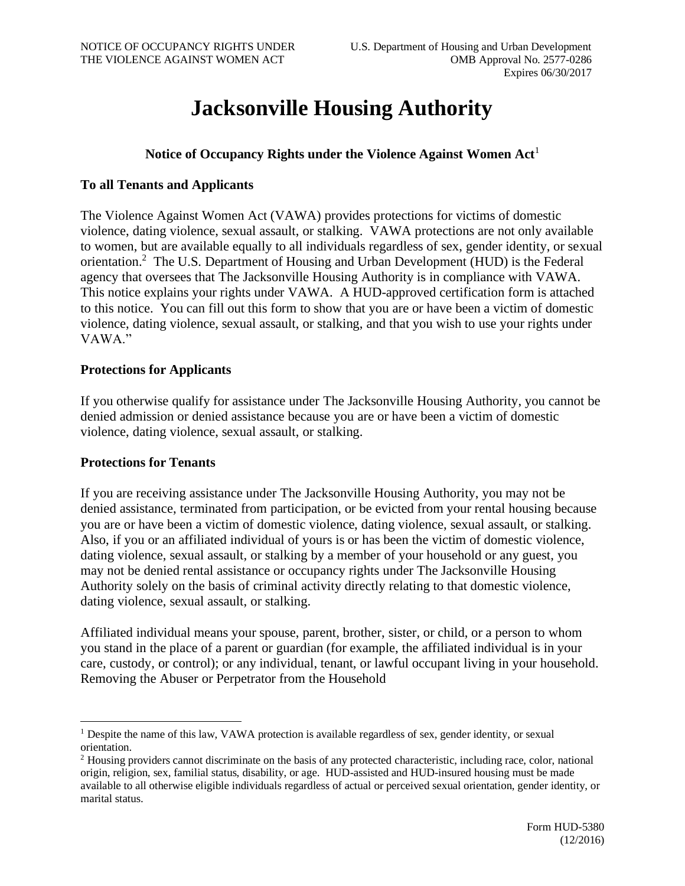# **Jacksonville Housing Authority**

## **Notice of Occupancy Rights under the Violence Against Women Act**<sup>1</sup>

## **To all Tenants and Applicants**

The Violence Against Women Act (VAWA) provides protections for victims of domestic violence, dating violence, sexual assault, or stalking. VAWA protections are not only available to women, but are available equally to all individuals regardless of sex, gender identity, or sexual orientation.<sup>2</sup> The U.S. Department of Housing and Urban Development (HUD) is the Federal agency that oversees that The Jacksonville Housing Authority is in compliance with VAWA. This notice explains your rights under VAWA. A HUD-approved certification form is attached to this notice. You can fill out this form to show that you are or have been a victim of domestic violence, dating violence, sexual assault, or stalking, and that you wish to use your rights under VAWA."

#### **Protections for Applicants**

If you otherwise qualify for assistance under The Jacksonville Housing Authority, you cannot be denied admission or denied assistance because you are or have been a victim of domestic violence, dating violence, sexual assault, or stalking.

#### **Protections for Tenants**

If you are receiving assistance under The Jacksonville Housing Authority, you may not be denied assistance, terminated from participation, or be evicted from your rental housing because you are or have been a victim of domestic violence, dating violence, sexual assault, or stalking. Also, if you or an affiliated individual of yours is or has been the victim of domestic violence, dating violence, sexual assault, or stalking by a member of your household or any guest, you may not be denied rental assistance or occupancy rights under The Jacksonville Housing Authority solely on the basis of criminal activity directly relating to that domestic violence, dating violence, sexual assault, or stalking.

Affiliated individual means your spouse, parent, brother, sister, or child, or a person to whom you stand in the place of a parent or guardian (for example, the affiliated individual is in your care, custody, or control); or any individual, tenant, or lawful occupant living in your household. Removing the Abuser or Perpetrator from the Household

<sup>1</sup> Despite the name of this law, VAWA protection is available regardless of sex, gender identity, or sexual orientation.

<sup>2</sup> Housing providers cannot discriminate on the basis of any protected characteristic, including race, color, national origin, religion, sex, familial status, disability, or age. HUD-assisted and HUD-insured housing must be made available to all otherwise eligible individuals regardless of actual or perceived sexual orientation, gender identity, or marital status.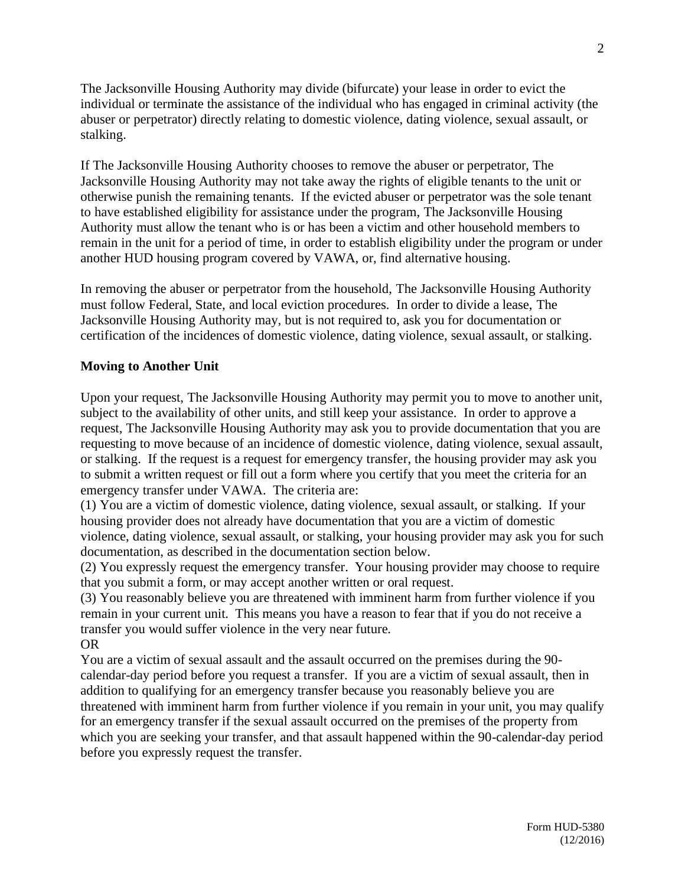The Jacksonville Housing Authority may divide (bifurcate) your lease in order to evict the individual or terminate the assistance of the individual who has engaged in criminal activity (the abuser or perpetrator) directly relating to domestic violence, dating violence, sexual assault, or stalking.

If The Jacksonville Housing Authority chooses to remove the abuser or perpetrator, The Jacksonville Housing Authority may not take away the rights of eligible tenants to the unit or otherwise punish the remaining tenants. If the evicted abuser or perpetrator was the sole tenant to have established eligibility for assistance under the program, The Jacksonville Housing Authority must allow the tenant who is or has been a victim and other household members to remain in the unit for a period of time, in order to establish eligibility under the program or under another HUD housing program covered by VAWA, or, find alternative housing.

In removing the abuser or perpetrator from the household, The Jacksonville Housing Authority must follow Federal, State, and local eviction procedures. In order to divide a lease, The Jacksonville Housing Authority may, but is not required to, ask you for documentation or certification of the incidences of domestic violence, dating violence, sexual assault, or stalking.

## **Moving to Another Unit**

Upon your request, The Jacksonville Housing Authority may permit you to move to another unit, subject to the availability of other units, and still keep your assistance. In order to approve a request, The Jacksonville Housing Authority may ask you to provide documentation that you are requesting to move because of an incidence of domestic violence, dating violence, sexual assault, or stalking. If the request is a request for emergency transfer, the housing provider may ask you to submit a written request or fill out a form where you certify that you meet the criteria for an emergency transfer under VAWA. The criteria are:

(1) You are a victim of domestic violence, dating violence, sexual assault, or stalking. If your housing provider does not already have documentation that you are a victim of domestic violence, dating violence, sexual assault, or stalking, your housing provider may ask you for such documentation, as described in the documentation section below.

(2) You expressly request the emergency transfer. Your housing provider may choose to require that you submit a form, or may accept another written or oral request.

(3) You reasonably believe you are threatened with imminent harm from further violence if you remain in your current unit. This means you have a reason to fear that if you do not receive a transfer you would suffer violence in the very near future. OR

You are a victim of sexual assault and the assault occurred on the premises during the 90 calendar-day period before you request a transfer. If you are a victim of sexual assault, then in addition to qualifying for an emergency transfer because you reasonably believe you are threatened with imminent harm from further violence if you remain in your unit, you may qualify for an emergency transfer if the sexual assault occurred on the premises of the property from which you are seeking your transfer, and that assault happened within the 90-calendar-day period before you expressly request the transfer.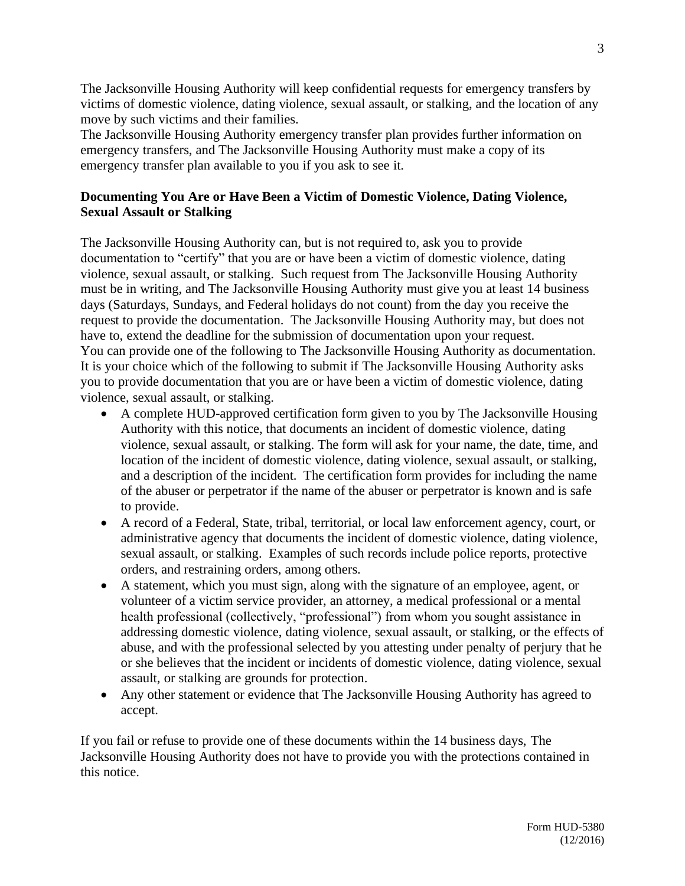The Jacksonville Housing Authority will keep confidential requests for emergency transfers by victims of domestic violence, dating violence, sexual assault, or stalking, and the location of any move by such victims and their families.

The Jacksonville Housing Authority emergency transfer plan provides further information on emergency transfers, and The Jacksonville Housing Authority must make a copy of its emergency transfer plan available to you if you ask to see it.

# **Documenting You Are or Have Been a Victim of Domestic Violence, Dating Violence, Sexual Assault or Stalking**

The Jacksonville Housing Authority can, but is not required to, ask you to provide documentation to "certify" that you are or have been a victim of domestic violence, dating violence, sexual assault, or stalking. Such request from The Jacksonville Housing Authority must be in writing, and The Jacksonville Housing Authority must give you at least 14 business days (Saturdays, Sundays, and Federal holidays do not count) from the day you receive the request to provide the documentation. The Jacksonville Housing Authority may, but does not have to, extend the deadline for the submission of documentation upon your request. You can provide one of the following to The Jacksonville Housing Authority as documentation. It is your choice which of the following to submit if The Jacksonville Housing Authority asks you to provide documentation that you are or have been a victim of domestic violence, dating violence, sexual assault, or stalking.

- A complete HUD-approved certification form given to you by The Jacksonville Housing Authority with this notice, that documents an incident of domestic violence, dating violence, sexual assault, or stalking. The form will ask for your name, the date, time, and location of the incident of domestic violence, dating violence, sexual assault, or stalking, and a description of the incident. The certification form provides for including the name of the abuser or perpetrator if the name of the abuser or perpetrator is known and is safe to provide.
- A record of a Federal, State, tribal, territorial, or local law enforcement agency, court, or administrative agency that documents the incident of domestic violence, dating violence, sexual assault, or stalking. Examples of such records include police reports, protective orders, and restraining orders, among others.
- A statement, which you must sign, along with the signature of an employee, agent, or volunteer of a victim service provider, an attorney, a medical professional or a mental health professional (collectively, "professional") from whom you sought assistance in addressing domestic violence, dating violence, sexual assault, or stalking, or the effects of abuse, and with the professional selected by you attesting under penalty of perjury that he or she believes that the incident or incidents of domestic violence, dating violence, sexual assault, or stalking are grounds for protection.
- Any other statement or evidence that The Jacksonville Housing Authority has agreed to accept.

If you fail or refuse to provide one of these documents within the 14 business days, The Jacksonville Housing Authority does not have to provide you with the protections contained in this notice.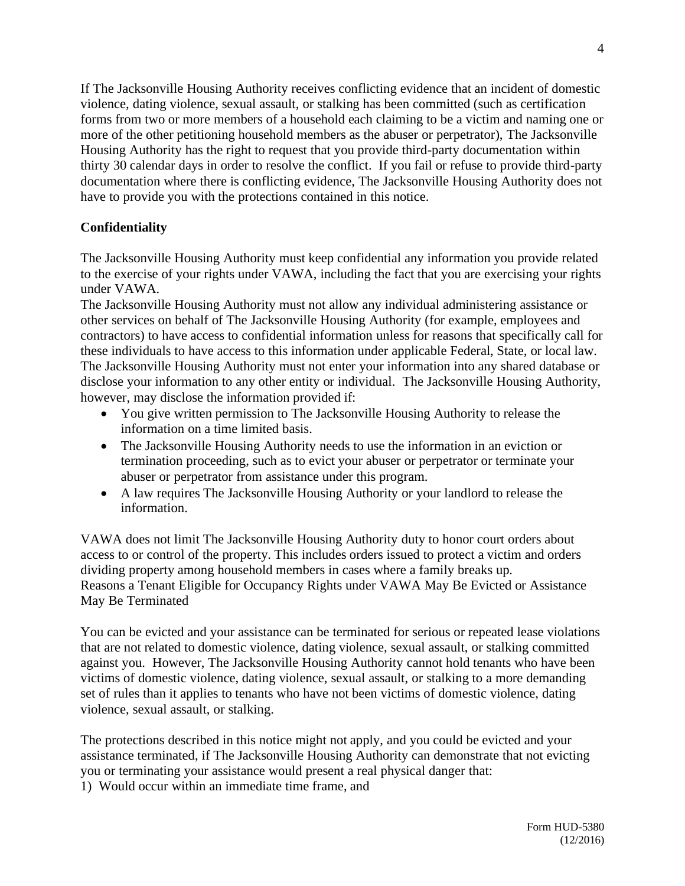If The Jacksonville Housing Authority receives conflicting evidence that an incident of domestic violence, dating violence, sexual assault, or stalking has been committed (such as certification forms from two or more members of a household each claiming to be a victim and naming one or more of the other petitioning household members as the abuser or perpetrator), The Jacksonville Housing Authority has the right to request that you provide third-party documentation within thirty 30 calendar days in order to resolve the conflict. If you fail or refuse to provide third-party documentation where there is conflicting evidence, The Jacksonville Housing Authority does not have to provide you with the protections contained in this notice.

# **Confidentiality**

The Jacksonville Housing Authority must keep confidential any information you provide related to the exercise of your rights under VAWA, including the fact that you are exercising your rights under VAWA.

The Jacksonville Housing Authority must not allow any individual administering assistance or other services on behalf of The Jacksonville Housing Authority (for example, employees and contractors) to have access to confidential information unless for reasons that specifically call for these individuals to have access to this information under applicable Federal, State, or local law. The Jacksonville Housing Authority must not enter your information into any shared database or disclose your information to any other entity or individual. The Jacksonville Housing Authority, however, may disclose the information provided if:

- You give written permission to The Jacksonville Housing Authority to release the information on a time limited basis.
- The Jacksonville Housing Authority needs to use the information in an eviction or termination proceeding, such as to evict your abuser or perpetrator or terminate your abuser or perpetrator from assistance under this program.
- A law requires The Jacksonville Housing Authority or your landlord to release the information.

VAWA does not limit The Jacksonville Housing Authority duty to honor court orders about access to or control of the property. This includes orders issued to protect a victim and orders dividing property among household members in cases where a family breaks up. Reasons a Tenant Eligible for Occupancy Rights under VAWA May Be Evicted or Assistance May Be Terminated

You can be evicted and your assistance can be terminated for serious or repeated lease violations that are not related to domestic violence, dating violence, sexual assault, or stalking committed against you. However, The Jacksonville Housing Authority cannot hold tenants who have been victims of domestic violence, dating violence, sexual assault, or stalking to a more demanding set of rules than it applies to tenants who have not been victims of domestic violence, dating violence, sexual assault, or stalking.

The protections described in this notice might not apply, and you could be evicted and your assistance terminated, if The Jacksonville Housing Authority can demonstrate that not evicting you or terminating your assistance would present a real physical danger that:

1) Would occur within an immediate time frame, and